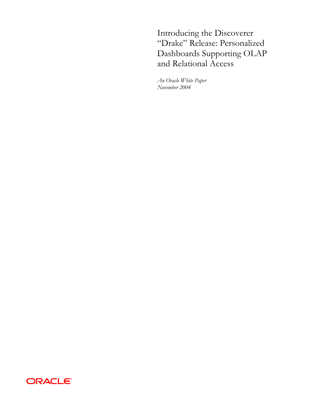Introducing the Discoverer "Drake" Release: Personalized Dashboards Supporting OLAP and Relational Access

*An Oracle White Paper November 2004* 

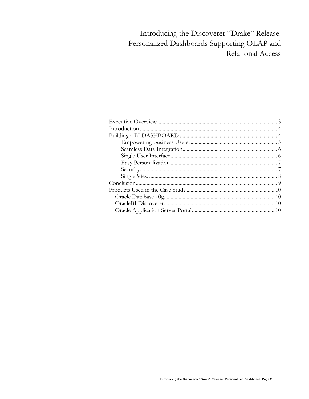# Introducing the Discoverer "Drake" Release: Personalized Dashboards Supporting OLAP and Relational Access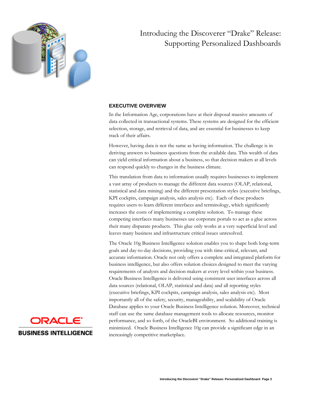<span id="page-2-0"></span>

# Introducing the Discoverer "Drake" Release: Supporting Personalized Dashboards

# **EXECUTIVE OVERVIEW**

In the Information Age, corporations have at their disposal massive amounts of data collected in transactional systems. These systems are designed for the efficient selection, storage, and retrieval of data, and are essential for businesses to keep track of their affairs.

However, having data is not the same as having information. The challenge is in deriving answers to business questions from the available data. This wealth of data can yield critical information about a business, so that decision makers at all levels can respond quickly to changes in the business climate.

This translation from data to information usually requires businesses to implement a vast array of products to manage the different data sources (OLAP, relational, statistical and data mining) and the different presentation styles (executive briefings, KPI cockpits, campaign analysis, sales analysis etc). Each of these products requires users to learn different interfaces and terminology, which significantly increases the costs of implementing a complete solution. To manage these competing interfaces many businesses use corporate portals to act as a glue across their many disparate products. This glue only works at a very superficial level and leaves many business and infrastructure critical issues unresolved.

The Oracle 10g Business Intelligence solution enables you to shape both long-term goals and day-to-day decisions, providing you with time-critical, relevant, and accurate information. Oracle not only offers a complete and integrated platform for business intelligence, but also offers solution choices designed to meet the varying requirements of analysts and decision makers at every level within your business. Oracle Business Intelligence is delivered using consistent user interfaces across all data sources (relational, OLAP, statistical and data) and all reporting styles (executive briefings, KPI cockpits, campaign analysis, sales analysis etc). Most importantly all of the safety, security, manageability, and scalability of Oracle Database applies to your Oracle Business Intelligence solution. Moreover, technical staff can use the same database management tools to allocate resources, monitor performance, and so forth, of the OracleBI environment. So additional training is minimized. Oracle Business Intelligence 10g can provide a significant edge in an increasingly competitive marketplace.

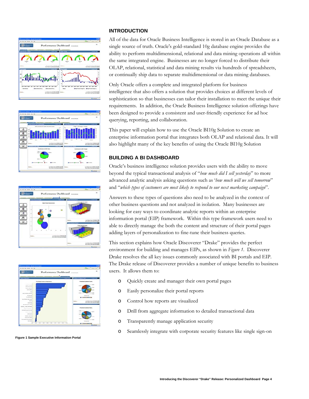<span id="page-3-0"></span>







**Figure 1 Sample Executive Information Portal** 

#### **INTRODUCTION**

All of the data for Oracle Business Intelligence is stored in an Oracle Database as a single source of truth. Oracle's gold-standard 10g database engine provides the ability to perform multidimensional, relational and data mining operations all within the same integrated engine. Businesses are no longer forced to distribute their OLAP, relational, statistical and data mining results via hundreds of spreadsheets, or continually ship data to separate multidimensional or data mining databases.

Only Oracle offers a complete and integrated platform for business intelligence that also offers a solution that provides choices at different levels of sophistication so that businesses can tailor their installation to meet the unique their requirements. In addition, the Oracle Business Intelligence solution offerings have been designed to provide a consistent and user-friendly experience for ad hoc querying, reporting, and collaboration.

This paper will explain how to use the Oracle BI10g Solution to create an enterprise information portal that integrates both OLAP and relational data. It will also highlight many of the key benefits of using the Oracle BI10g Solution

# **BUILDING A BI DASHBOARD**

Oracle's business intelligence solution provides users with the ability to move beyond the typical transactional analysis of "*how much did I sell yesterday*" to more advanced analytic analysis asking questions such as '*how much will we sell tomorrow*" and "*which types of customers are most likely to respond to our next marketing campaign*".

Answers to these types of questions also need to be analyzed in the context of other business questions and not analyzed in isolation. Many businesses are looking for easy ways to coordinate analytic reports within an enterprise information portal (EIP) framework. Within this type framework users need to able to directly manage the both the content and structure of their portal pages adding layers of personalization to fine-tune their business queries.

This section explains how Oracle Discoverer "Drake" provides the perfect environment for building and manages EIPs, as shown in *Figure 1*. Discoverer Drake resolves the all key issues commonly associated with BI portals and EIP. The Drake release of Discoverer provides a number of unique benefits to business users. It allows them to:

- o Quickly create and manager their own portal pages
- o Easily personalize their portal reports
- o Control how reports are visualized
- o Drill from aggregate information to detailed transactional data
- o Transparently manage application security
- o Seamlessly integrate with corporate security features like single sign-on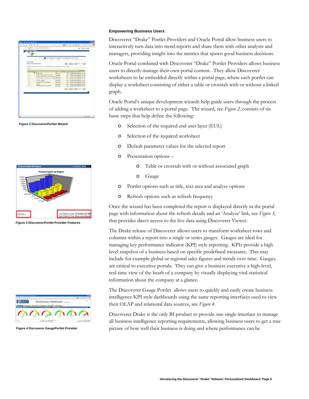<span id="page-4-0"></span>

| Lamb (Centri) (Real front on feet)<br>Salest the werksheet to display<br>IF THE IT IS workstood choose does not have parameters, the Parameters she will be sligged.<br><b>ISLIK P</b><br>MacDification<br><b>Salast Europe Manuel</b><br><b>Type:</b><br><b><i>Emergence Invest Counting Date</i></b><br>\$1.000<br><b>V Festivale Lower</b><br>Woklast<br>LIFE SISTEM TECH PHOSICALS ST PM<br>Breast Cancer (misterica, mistality)<br>$\overline{0}$<br>LPE 5/3164 1025 PM 6/264 3 ST PM<br><b>Miskalad</b><br>Pastole (pay, EFA, courty, ed. weight) stockclose<br>$\circ$<br>LPE NOTAL 10:25 PM ECITA 3:37 PM<br>$\frac{0}{0}$<br>Parameter (your, soundy, epo, mil. veright) sourcessed<br>LPW NISSIN 10.26 PM RODGE EST PM<br><b>Tase, apa, product</b><br>Wolksheet<br>LIFE: 5/31/04 10:25 PM EQIS4 3:37 PM<br>ö<br>Panmate (Yaat, apa, probat).<br>LIFE 50184 10:30 PM 6064 3 ST PM<br>Wednesday<br>ö<br>Israel<br><b>BOICH TO 36 PM ROOM 3 ST PM</b><br><b>Wolcolaat</b><br>LFE <sup>2</sup><br>G<br>Parameter (Year, eps. product S)<br>Worksheet<br>LIFE - NOVIN 10 26 PHILOSH 3 ST PM<br>(pm.) (prox) (but) from her men |
|--------------------------------------------------------------------------------------------------------------------------------------------------------------------------------------------------------------------------------------------------------------------------------------------------------------------------------------------------------------------------------------------------------------------------------------------------------------------------------------------------------------------------------------------------------------------------------------------------------------------------------------------------------------------------------------------------------------------------------------------------------------------------------------------------------------------------------------------------------------------------------------------------------------------------------------------------------------------------------------------------------------------------------------------------------------------------------------------------------------------------------------|
|                                                                                                                                                                                                                                                                                                                                                                                                                                                                                                                                                                                                                                                                                                                                                                                                                                                                                                                                                                                                                                                                                                                                      |
|                                                                                                                                                                                                                                                                                                                                                                                                                                                                                                                                                                                                                                                                                                                                                                                                                                                                                                                                                                                                                                                                                                                                      |
|                                                                                                                                                                                                                                                                                                                                                                                                                                                                                                                                                                                                                                                                                                                                                                                                                                                                                                                                                                                                                                                                                                                                      |
|                                                                                                                                                                                                                                                                                                                                                                                                                                                                                                                                                                                                                                                                                                                                                                                                                                                                                                                                                                                                                                                                                                                                      |
|                                                                                                                                                                                                                                                                                                                                                                                                                                                                                                                                                                                                                                                                                                                                                                                                                                                                                                                                                                                                                                                                                                                                      |
|                                                                                                                                                                                                                                                                                                                                                                                                                                                                                                                                                                                                                                                                                                                                                                                                                                                                                                                                                                                                                                                                                                                                      |
|                                                                                                                                                                                                                                                                                                                                                                                                                                                                                                                                                                                                                                                                                                                                                                                                                                                                                                                                                                                                                                                                                                                                      |
|                                                                                                                                                                                                                                                                                                                                                                                                                                                                                                                                                                                                                                                                                                                                                                                                                                                                                                                                                                                                                                                                                                                                      |
|                                                                                                                                                                                                                                                                                                                                                                                                                                                                                                                                                                                                                                                                                                                                                                                                                                                                                                                                                                                                                                                                                                                                      |
|                                                                                                                                                                                                                                                                                                                                                                                                                                                                                                                                                                                                                                                                                                                                                                                                                                                                                                                                                                                                                                                                                                                                      |
|                                                                                                                                                                                                                                                                                                                                                                                                                                                                                                                                                                                                                                                                                                                                                                                                                                                                                                                                                                                                                                                                                                                                      |
|                                                                                                                                                                                                                                                                                                                                                                                                                                                                                                                                                                                                                                                                                                                                                                                                                                                                                                                                                                                                                                                                                                                                      |
|                                                                                                                                                                                                                                                                                                                                                                                                                                                                                                                                                                                                                                                                                                                                                                                                                                                                                                                                                                                                                                                                                                                                      |
|                                                                                                                                                                                                                                                                                                                                                                                                                                                                                                                                                                                                                                                                                                                                                                                                                                                                                                                                                                                                                                                                                                                                      |
|                                                                                                                                                                                                                                                                                                                                                                                                                                                                                                                                                                                                                                                                                                                                                                                                                                                                                                                                                                                                                                                                                                                                      |
|                                                                                                                                                                                                                                                                                                                                                                                                                                                                                                                                                                                                                                                                                                                                                                                                                                                                                                                                                                                                                                                                                                                                      |





#### **Empowering Business Users**

Discoverer "Drake" Portlet Providers and Oracle Portal allow business users to interactively turn data into trend reports and share them with other analysts and managers, providing insight into the metrics that spawn good business decisions.

Oracle Portal combined with Discoverer "Drake" Portlet Providers allows business users to directly manage their own portal content. They allow Discoverer worksheets to be embedded directly within a portal page, where each portlet can display a worksheet consisting of either a table or crosstab with or without a linked graph.

Oracle Portal's unique development wizards help guide users through the process of adding a worksheet to a portal page. The wizard, see *Figure 2,* consists of six basic steps that help define the following:

- **Figure 2 DiscovererPortlet Wizard** o Selection of the required end user layer (EUL)
	- o Selection of the required worksheet
	- o Default parameter values for the selected report
	- o Presentation options
		- o Table or crosstab with or without associated graph
		- o Gauge
	- o Portlet options such as title, text area and analyze options
	- o Refresh options such as refresh frequency

Once the wizard has been completed the report is displayed directly in the portal page with information about the refresh details and an 'Analyze' link, see *Figure 3,* that provides direct access to the live data using Discoverer Viewer. **Figure 3 DiscovererPortlet Provider Features** 

> The Drake release of Discoverer allows users to transform worksheet rows and columns within a report into a single or series gauges. Gauges are ideal for managing key performance indicator (KPI) style reporting. KPIs provide a high level snapshot of a business based on specific predefined measures. This may include for example global or regional sales figures and trends over time. Gauges are critical to executive portals. They can give a business executive a high-level, real-time view of the heath of a company by visually displaying vital statistical information about the company at a glance.

The Discoverer Gauge Portlet allows users to quickly and easily create business intelligence KPI style dashboards using the same reporting interfaces used to view their OLAP and relational data sources, see *Figure 4.* 

Discoverer Drake is the only BI product to provide one single interface to manage all business intelligence reporting requirements, allowing business users to get a true **Figure 4 Discoverer GaugePortlet Provider** picture of how well their business is doing and where performance can be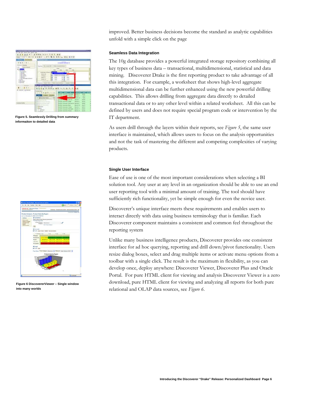<span id="page-5-0"></span>

Figure 5. Seamlessly Drilling from summary **Figure 1** and  $\text{IT}$  department. **informaiton to detailed data** 



#### **Seamless Data Integration**

The 10g database provides a powerful integrated storage repository combining all key types of business data – transactional, multidimensional, statistical and data mining. Discoverer Drake is the first reporting product to take advantage of all this integration. For example, a worksheet that shows high-level aggregate multidimensional data can be further enhanced using the new powerful drilling capabilities. This allows drilling from aggregate data directly to detailed transactional data or to any other level within a related worksheet. All this can be defined by users and does not require special program code or intervention by the

As users drill through the layers within their reports, see *Figure 5*, the same user interface is maintained, which allows users to focus on the analysis opportunities and not the task of mastering the different and competing complexities of varying products.

#### **Single User Interface**

Ease of use is one of the most important considerations when selecting a BI solution tool. Any user at any level in an organization should be able to use an end user reporting tool with a minimal amount of training. The tool should have sufficiently rich functionality, yet be simple enough for even the novice user.

Discoverer's unique interface meets these requirements and enables users to interact directly with data using business terminology that is familiar. Each Discoverer component maintains a consistent and common feel throughout the reporting system

Unlike many business intelligence products, Discoverer provides one consistent interface for ad hoc querying, reporting and drill down/pivot functionality. Users resize dialog boxes, select and drag multiple items or activate menu options from a toolbar with a single click. The result is the maximum in flexibility, as you can develop once, deploy anywhere: Discoverer Viewer, Discoverer Plus and Oracle Portal. For pure HTML client for viewing and analysis Discoverer Viewer is a zero download, pure HTML client for viewing and analyzing all reports for both pure relational and OLAP data sources, see *Figure 6*.



**Figure 6 DiscovererViewer – Single window into many worlds**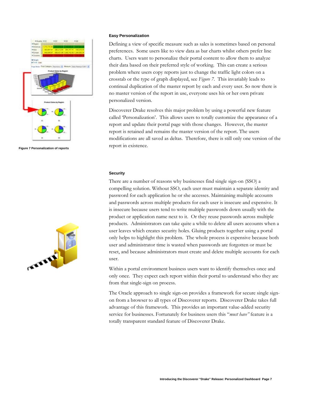<span id="page-6-0"></span>

**Figure 7 Personalization of reports** 



#### **Easy Personalization**

Defining a view of specific measure such as sales is sometimes based on personal preferences. Some users like to view data as bar charts whilst others prefer line charts. Users want to personalize their portal content to allow them to analyze their data based on their preferred style of working. This can create a serious problem where users copy reports just to change the traffic light colors on a crosstab or the type of graph displayed, see *Figure 7*. This invariably leads to continual duplication of the master report by each and every user. So now there is no master version of the report in use, everyone uses his or her own private personalized version.

Discoverer Drake resolves this major problem by using a powerful new feature called 'Personalization'. This allows users to totally customize the appearance of a report and update their portal page with those changes. However, the master report is retained and remains the master version of the report. The users modifications are all saved as deltas. Therefore, there is still only one version of the report in existence.

#### **Security**

There are a number of reasons why businesses find single sign-on (SSO) a compelling solution. Without SSO, each user must maintain a separate identity and password for each application he or she accesses. Maintaining multiple accounts and passwords across multiple products for each user is insecure and expensive. It is insecure because users tend to write multiple passwords down usually with the product or application name next to it. Or they reuse passwords across multiple products. Administrators can take quite a while to delete all users accounts when a user leaves which creates security holes. Gluing products together using a portal only helps to highlight this problem. The whole process is expensive because both user and administrator time is wasted when passwords are forgotten or must be reset, and because administrators must create and delete multiple accounts for each user.

Within a portal environment business users want to identify themselves once and only once. They expect each report within their portal to understand who they are from that single-sign on process.

The Oracle approach to single sign-on provides a framework for secure single signon from a browser to all types of Discoverer reports. Discoverer Drake takes full advantage of this framework. This provides an important value-added security service for businesses. Fortunately for business users this "*must have"* feature is a totally transparent standard feature of Discoverer Drake.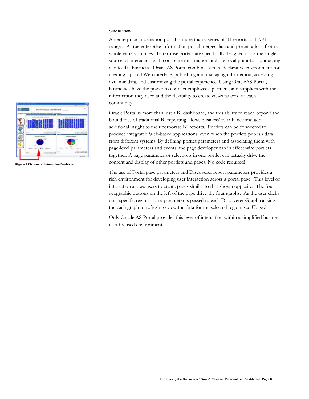#### **Single View**

An enterprise information portal is more than a series of BI reports and KPI gauges. A true enterprise information portal merges data and presentations from a whole variety sources. Enterprise portals are specifically designed to be the single source of interaction with corporate information and the focal point for conducting day-to-day business. OracleAS Portal combines a rich, declarative environment for creating a portal Web interface, publishing and managing information, accessing dynamic data, and customizing the portal experience. Using OracleAS Portal, businesses have the power to connect employees, partners, and suppliers with the information they need and the flexibility to create views tailored to each community.

Oracle Portal is more than just a BI dashboard, and this ability to reach beyond the boundaries of traditional BI reporting allows business' to enhance and add additional insight to their corporate BI reports. Portlets can be connected to produce integrated Web-based applications, even when the portlets publish data from different systems. By defining portlet parameters and associating them with page-level parameters and events, the page developer can in effect wire portlets together. A page parameter or selections in one portlet can actually drive the content and display of other portlets and pages. No code required!

The use of Portal page parameters and Discoverer report parameters provides a rich environment for developing user interaction across a portal page. This level of interaction allows users to create pages similar to that shown opposite. The four geographic buttons on the left of the page drive the four graphs. As the user clicks on a specific region icon a parameter is passed to each Discoverer Graph causing the each graph to refresh to view the data for the selected region, see *Figure 8.*

Only Oracle AS Portal provides this level of interaction within a simplified business user focused environment.

<span id="page-7-0"></span>

**Figure 8 Discoverer Interactive Dashboard**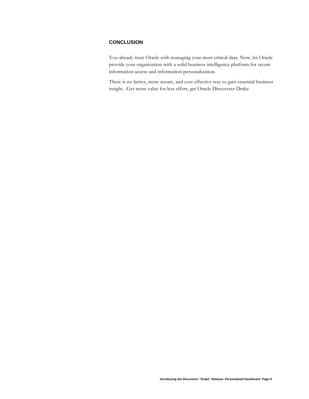# <span id="page-8-0"></span>**CONCLUSION**

You already trust Oracle with managing your most critical data. Now, let Oracle provide your organization with a solid business intelligence platform for secure information access and information personalization.

There is no better, more secure, and cost effective way to gain essential business insight. Get more value for less effort, get Oracle Discoverer Drake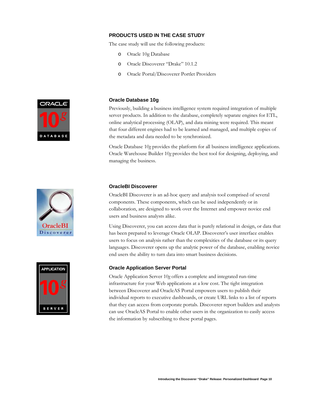# **PRODUCTS USED IN THE CASE STUDY**

The case study will use the following products:

- o Oracle 10g Database
- o Oracle Discoverer "Drake" 10.1.2
- o Oracle Portal/Discoverer Portlet Providers

<span id="page-9-0"></span>

## **Oracle Database 10g**

Previously, building a business intelligence system required integration of multiple server products. In addition to the database, completely separate engines for ETL, online analytical processing (OLAP), and data mining were required. This meant that four different engines had to be learned and managed, and multiple copies of the metadata and data needed to be synchronized.

Oracle Database 10*g* provides the platform for all business intelligence applications. Oracle Warehouse Builder 10*g* provides the best tool for designing, deploying, and managing the business.

# **OracleBI** Discoverer



### **OracleBI Discoverer**

OracleBI Discoverer is an ad-hoc query and analysis tool comprised of several components. These components, which can be used independently or in collaboration, are designed to work over the Internet and empower novice end users and business analysts alike.

Using Discoverer, you can access data that is purely relational in design, or data that has been prepared to leverage Oracle OLAP. Discoverer's user interface enables users to focus on analysis rather than the complexities of the database or its query languages. Discoverer opens up the analytic power of the database, enabling novice end users the ability to turn data into smart business decisions.

## **Oracle Application Server Portal**

Oracle Application Server 10*g* offers a complete and integrated run-time infrastructure for your Web applications at a low cost. The tight integration between Discoverer and OracleAS Portal empowers users to publish their individual reports to executive dashboards, or create URL links to a list of reports that they can access from corporate portals. Discoverer report builders and analysts can use OracleAS Portal to enable other users in the organization to easily access the information by subscribing to these portal pages.